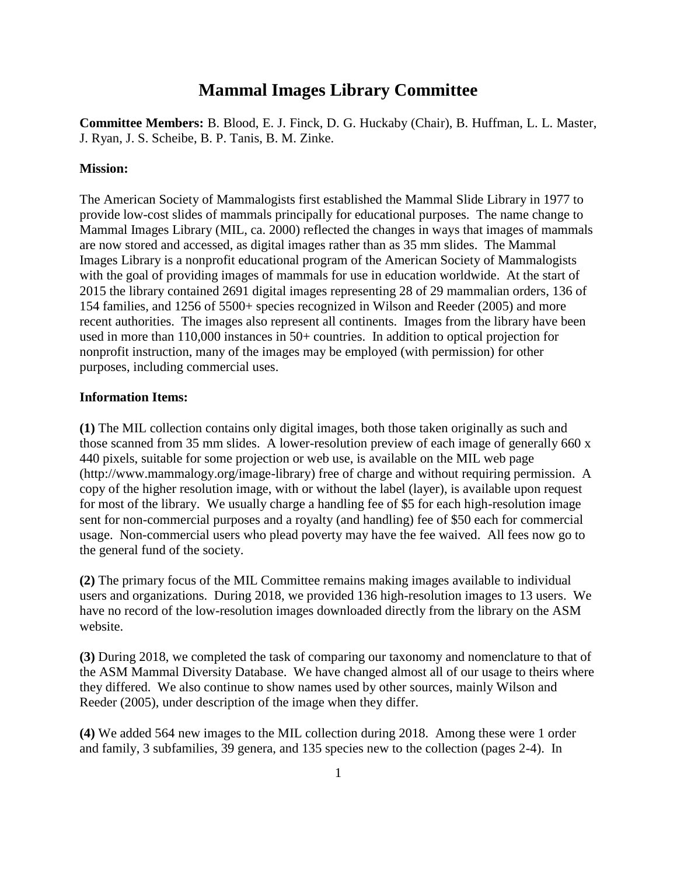# **Mammal Images Library Committee**

**Committee Members:** B. Blood, E. J. Finck, D. G. Huckaby (Chair), B. Huffman, L. L. Master, J. Ryan, J. S. Scheibe, B. P. Tanis, B. M. Zinke.

#### **Mission:**

The American Society of Mammalogists first established the Mammal Slide Library in 1977 to provide low-cost slides of mammals principally for educational purposes. The name change to Mammal Images Library (MIL, ca. 2000) reflected the changes in ways that images of mammals are now stored and accessed, as digital images rather than as 35 mm slides. The Mammal Images Library is a nonprofit educational program of the American Society of Mammalogists with the goal of providing images of mammals for use in education worldwide. At the start of 2015 the library contained 2691 digital images representing 28 of 29 mammalian orders, 136 of 154 families, and 1256 of 5500+ species recognized in Wilson and Reeder (2005) and more recent authorities. The images also represent all continents. Images from the library have been used in more than 110,000 instances in 50+ countries. In addition to optical projection for nonprofit instruction, many of the images may be employed (with permission) for other purposes, including commercial uses.

#### **Information Items:**

**(1)** The MIL collection contains only digital images, both those taken originally as such and those scanned from 35 mm slides. A lower-resolution preview of each image of generally 660 x 440 pixels, suitable for some projection or web use, is available on the MIL web page (http://www.mammalogy.org/image-library) free of charge and without requiring permission. A copy of the higher resolution image, with or without the label (layer), is available upon request for most of the library. We usually charge a handling fee of \$5 for each high-resolution image sent for non-commercial purposes and a royalty (and handling) fee of \$50 each for commercial usage. Non-commercial users who plead poverty may have the fee waived. All fees now go to the general fund of the society.

**(2)** The primary focus of the MIL Committee remains making images available to individual users and organizations. During 2018, we provided 136 high-resolution images to 13 users. We have no record of the low-resolution images downloaded directly from the library on the ASM website.

**(3)** During 2018, we completed the task of comparing our taxonomy and nomenclature to that of the ASM Mammal Diversity Database. We have changed almost all of our usage to theirs where they differed. We also continue to show names used by other sources, mainly Wilson and Reeder (2005), under description of the image when they differ.

**(4)** We added 564 new images to the MIL collection during 2018. Among these were 1 order and family, 3 subfamilies, 39 genera, and 135 species new to the collection (pages 2-4). In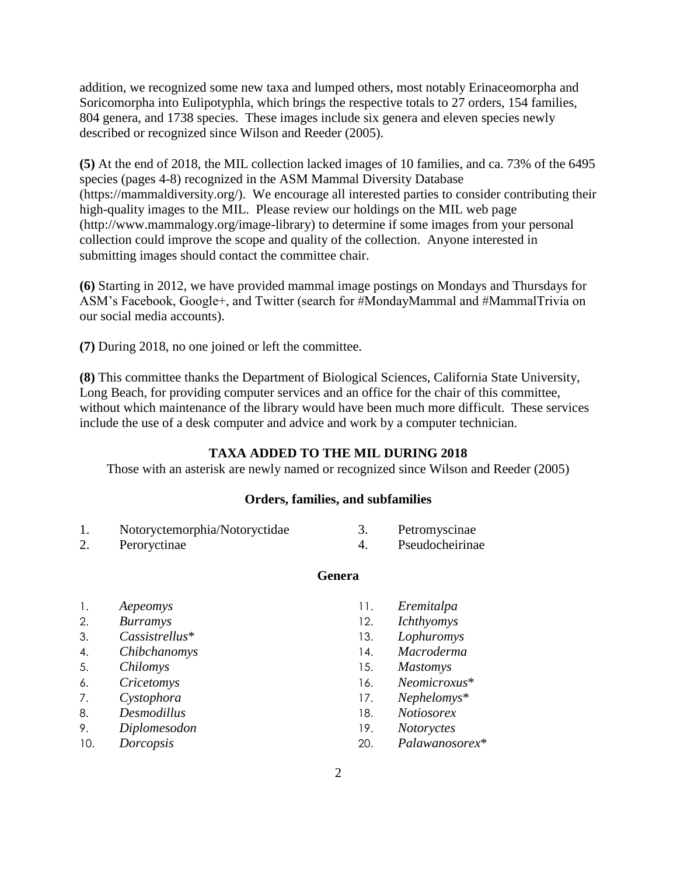addition, we recognized some new taxa and lumped others, most notably Erinaceomorpha and Soricomorpha into Eulipotyphla, which brings the respective totals to 27 orders, 154 families, 804 genera, and 1738 species. These images include six genera and eleven species newly described or recognized since Wilson and Reeder (2005).

**(5)** At the end of 2018, the MIL collection lacked images of 10 families, and ca. 73% of the 6495 species (pages 4-8) recognized in the ASM Mammal Diversity Database (https://mammaldiversity.org/). We encourage all interested parties to consider contributing their high-quality images to the MIL. Please review our holdings on the MIL web page (http://www.mammalogy.org/image-library) to determine if some images from your personal collection could improve the scope and quality of the collection. Anyone interested in submitting images should contact the committee chair.

**(6)** Starting in 2012, we have provided mammal image postings on Mondays and Thursdays for ASM's Facebook, Google+, and Twitter (search for #MondayMammal and #MammalTrivia on our social media accounts).

**(7)** During 2018, no one joined or left the committee.

**(8)** This committee thanks the Department of Biological Sciences, California State University, Long Beach, for providing computer services and an office for the chair of this committee, without which maintenance of the library would have been much more difficult. These services include the use of a desk computer and advice and work by a computer technician.

#### **TAXA ADDED TO THE MIL DURING 2018**

Those with an asterisk are newly named or recognized since Wilson and Reeder (2005)

#### **Orders, families, and subfamilies**

| Notoryctemorphia/Notoryctidae | Petromyscinae |
|-------------------------------|---------------|
|                               |               |

2. Peroryctinae

- 4. Pseudocheirinae
- **Genera**

- 1. *Aepeomys*
- 2. *Burramys*
- 3. *Cassistrellus*\*
- 4. *Chibchanomys*
- 5. *Chilomys*
- 6. *Cricetomys*
- 7. *Cystophora*
- 8. *Desmodillus*
- 9. *Diplomesodon*
- 10. *Dorcopsis*
- 11. *Eremitalpa*
- 12. *Ichthyomys*
- 13. *Lophuromys*
- 14. *Macroderma*
- 15. *Mastomys*
- 16. *Neomicroxus*\*
- 17. *Nephelomys*\*
- 18. *Notiosorex*
- 19. *Notoryctes*
- 20. *Palawanosorex*\*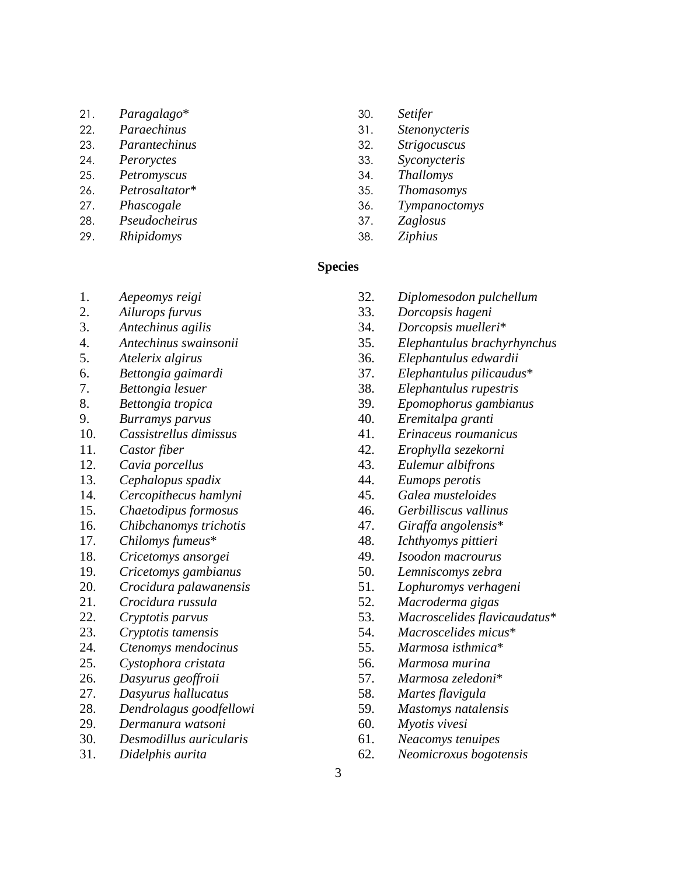- 21. *Paragalago*\*
- 22. *Paraechinus*
- 23. *Parantechinus*
- 24. *Peroryctes*
- 25. *Petromyscus*
- 26. *Petrosaltator*\*
- 27. *Phascogale*
- 28. *Pseudocheirus*
- 29. *Rhipidomys*
- 30. *Setifer*
- 31. *Stenonycteris*
- 32. *Strigocuscus*
- 33. *Syconycteris*
- 34. *Thallomys*
- 35. *Thomasomys*
- 36. *Tympanoctomys*
- 37. *Zaglosus*
- 38. *Ziphius*

#### **Species**

- 1. *Aepeomys reigi*
- 2. *Ailurops furvus*
- 3. *Antechinus agilis*
- 4. *Antechinus swainsonii*
- 5. *Atelerix algirus*
- 6. *Bettongia gaimardi*
- 7. *Bettongia lesuer*
- 8. *Bettongia tropica*
- 9. *Burramys parvus*
- 10. *Cassistrellus dimissus*
- 11. *Castor fiber*
- 12. *Cavia porcellus*
- 13. *Cephalopus spadix*
- 14. *Cercopithecus hamlyni*
- 15. *Chaetodipus formosus*
- 16. *Chibchanomys trichotis*
- 17. *Chilomys fumeus*\*
- 18. *Cricetomys ansorgei*
- 19. *Cricetomys gambianus*
- 20. *Crocidura palawanensis*
- 21. *Crocidura russula*
- 22. *Cryptotis parvus*
- 23. *Cryptotis tamensis*
- 24. *Ctenomys mendocinus*
- 25. *Cystophora cristata*
- 26. *Dasyurus geoffroii*
- 27. *Dasyurus hallucatus*
- 28. *Dendrolagus goodfellowi*
- 29. *Dermanura watsoni*
- 30. *Desmodillus auricularis*
- 31. *Didelphis aurita*
- 32. *Diplomesodon pulchellum*
- 33. *Dorcopsis hageni*
- 34. *Dorcopsis muelleri*\*
- 35. *Elephantulus brachyrhynchus*
- 36. *Elephantulus edwardii*
- 37. *Elephantulus pilicaudus*\*
- 38. *Elephantulus rupestris*
- 39. *Epomophorus gambianus*
- 40. *Eremitalpa granti*
- 41. *Erinaceus roumanicus*
- 42. *Erophylla sezekorni*
- 43. *Eulemur albifrons*
- 44. *Eumops perotis*
- 45. *Galea musteloides*
- 46. *Gerbilliscus vallinus*
- 47. *Giraffa angolensis*\*
- 48. *Ichthyomys pittieri*
- 49. *Isoodon macrourus*
- 50. *Lemniscomys zebra*
- 51. *Lophuromys verhageni*
- 52. *Macroderma gigas*
- 53. *Macroscelides flavicaudatus*\*
- 54. *Macroscelides micus*\*
- 55. *Marmosa isthmica*\*
- 56. *Marmosa murina*
- 57. *Marmosa zeledoni*\*
- 58. *Martes flavigula*
- 59. *Mastomys natalensis*
- 60. *Myotis vivesi*
- 61. *Neacomys tenuipes*
- 62. *Neomicroxus bogotensis*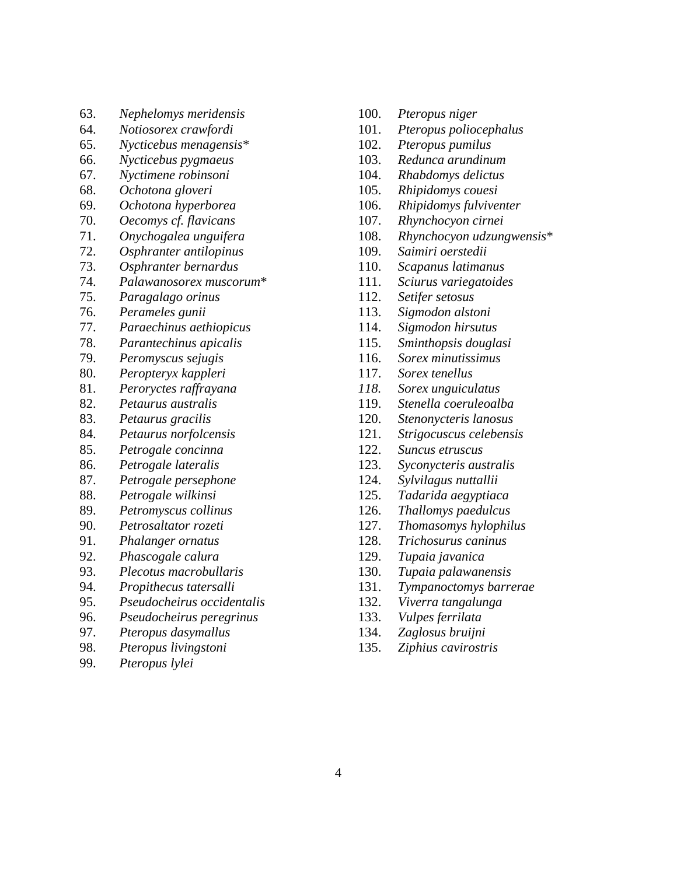- 63. *Nephelomys meridensis*
- 64. *Notiosorex crawfordi*
- 65. *Nycticebus menagensis*\*
- 66. *Nycticebus pygmaeus*
- 67. *Nyctimene robinsoni*
- 68. *Ochotona gloveri*
- 69. *Ochotona hyperborea*
- 70. *Oecomys cf. flavicans*
- 71. *Onychogalea unguifera*
- 72. *Osphranter antilopinus*
- 73. *Osphranter bernardus*
- 74. *Palawanosorex muscorum*\*
- 75. *Paragalago orinus*
- 76. *Perameles gunii*
- 77. *Paraechinus aethiopicus*
- 78. *Parantechinus apicalis*
- 79. *Peromyscus sejugis*
- 80. *Peropteryx kappleri*
- 81. *Peroryctes raffrayana*
- 82. *Petaurus australis*
- 83. *Petaurus gracilis*
- 84. *Petaurus norfolcensis*
- 85. *Petrogale concinna*
- 86. *Petrogale lateralis*
- 87. *Petrogale persephone*
- 88. *Petrogale wilkinsi*
- 89. *Petromyscus collinus*
- 90. *Petrosaltator rozeti*
- 91. *Phalanger ornatus*
- 92. *Phascogale calura*
- 93. *Plecotus macrobullaris*
- 94. *Propithecus tatersalli*
- 95. *Pseudocheirus occidentalis*
- 96. *Pseudocheirus peregrinus*
- 97. *Pteropus dasymallus*
- 98. *Pteropus livingstoni*
- 99. *Pteropus lylei*
- 100. *Pteropus niger*
- 101. *Pteropus poliocephalus*
- 102. *Pteropus pumilus*
- 103. *Redunca arundinum*
- 104. *Rhabdomys delictus*
- 105. *Rhipidomys couesi*
- 106. *Rhipidomys fulviventer*
- 107. *Rhynchocyon cirnei*
- 108. *Rhynchocyon udzungwensis*\*
- 109. *Saimiri oerstedii*
- 110. *Scapanus latimanus*
- 111. *Sciurus variegatoides*
- 112. *Setifer setosus*
- 113. *Sigmodon alstoni*
- 114. *Sigmodon hirsutus*
- 115. *Sminthopsis douglasi*
- 116. *Sorex minutissimus*
- 117. *Sorex tenellus*
- *118. Sorex unguiculatus*
- 119. *Stenella coeruleoalba*
- 120. *Stenonycteris lanosus*
- 121. *Strigocuscus celebensis*
- 122. *Suncus etruscus*
- 123. *Syconycteris australis*
- 124. *Sylvilagus nuttallii*
- 125. *Tadarida aegyptiaca*
- 126. *Thallomys paedulcus*
- 127. *Thomasomys hylophilus*
- 128. *Trichosurus caninus*
- 129. *Tupaia javanica*
- 130. *Tupaia palawanensis*
- 131. *Tympanoctomys barrerae*
- 132. *Viverra tangalunga*
- 133. *Vulpes ferrilata*
- 134. *Zaglosus bruijni*
- 135. *Ziphius cavirostris*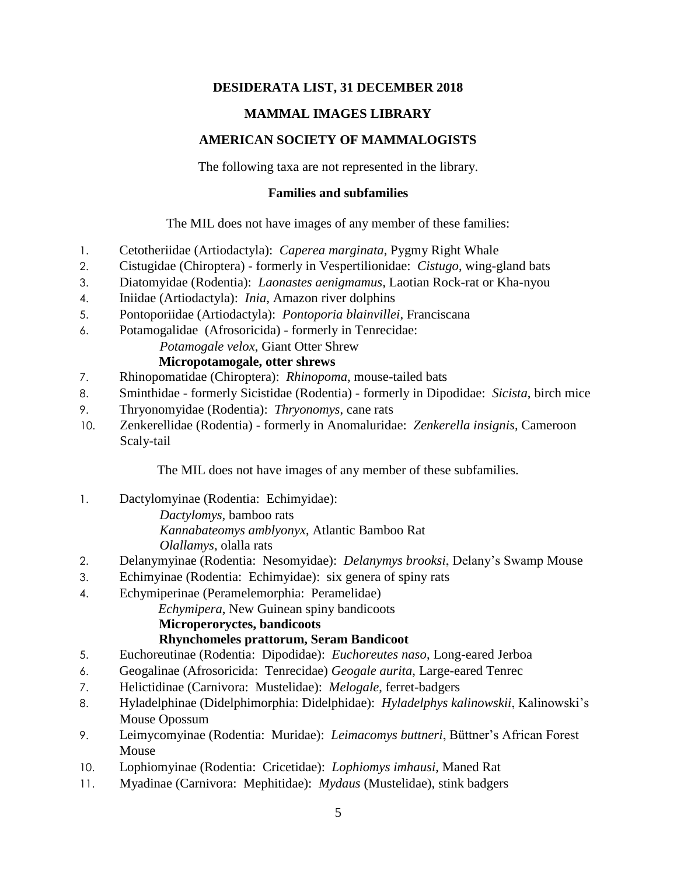# **DESIDERATA LIST, 31 DECEMBER 2018**

# **MAMMAL IMAGES LIBRARY**

# **AMERICAN SOCIETY OF MAMMALOGISTS**

The following taxa are not represented in the library.

### **Families and subfamilies**

The MIL does not have images of any member of these families:

- 1. Cetotheriidae (Artiodactyla): *Caperea marginata*, Pygmy Right Whale
- 2. Cistugidae (Chiroptera) formerly in Vespertilionidae: *Cistugo*, wing-gland bats
- 3. Diatomyidae (Rodentia): *Laonastes aenigmamus,* Laotian Rock-rat or Kha-nyou
- 4. Iniidae (Artiodactyla): *Inia*, Amazon river dolphins
- 5. Pontoporiidae (Artiodactyla): *Pontoporia blainvillei*, Franciscana
- 6. Potamogalidae (Afrosoricida) formerly in Tenrecidae:

*Potamogale velox*, Giant Otter Shrew

# **Micropotamogale, otter shrews**

- 7. Rhinopomatidae (Chiroptera): *Rhinopoma*, mouse-tailed bats
- 8. Sminthidae formerly Sicistidae (Rodentia) formerly in Dipodidae: *Sicista*, birch mice
- 9. Thryonomyidae (Rodentia): *Thryonomys*, cane rats
- 10. Zenkerellidae (Rodentia) formerly in Anomaluridae: *Zenkerella insignis*, Cameroon Scaly-tail

The MIL does not have images of any member of these subfamilies.

- 1. Dactylomyinae (Rodentia: Echimyidae): *Dactylomys*, bamboo rats *Kannabateomys amblyonyx*, Atlantic Bamboo Rat
	- *Olallamys*, olalla rats
- 2. Delanymyinae (Rodentia: Nesomyidae): *Delanymys brooksi*, Delany's Swamp Mouse
- 3. Echimyinae (Rodentia: Echimyidae): six genera of spiny rats
- 4. Echymiperinae (Peramelemorphia: Peramelidae)

*Echymipera*, New Guinean spiny bandicoots

## **Microperoryctes, bandicoots**

# **Rhynchomeles prattorum, Seram Bandicoot**

- 5. Euchoreutinae (Rodentia: Dipodidae): *Euchoreutes naso*, Long-eared Jerboa
- 6. Geogalinae (Afrosoricida: Tenrecidae) *Geogale aurita*, Large-eared Tenrec
- 7. Helictidinae (Carnivora: Mustelidae): *Melogale*, ferret-badgers
- 8. Hyladelphinae (Didelphimorphia: Didelphidae): *Hyladelphys kalinowskii*, Kalinowski's Mouse Opossum
- 9. Leimycomyinae (Rodentia: Muridae): *Leimacomys buttneri*, Büttner's African Forest Mouse
- 10. Lophiomyinae (Rodentia: Cricetidae): *Lophiomys imhausi*, Maned Rat
- 11. Myadinae (Carnivora: Mephitidae): *Mydaus* (Mustelidae), stink badgers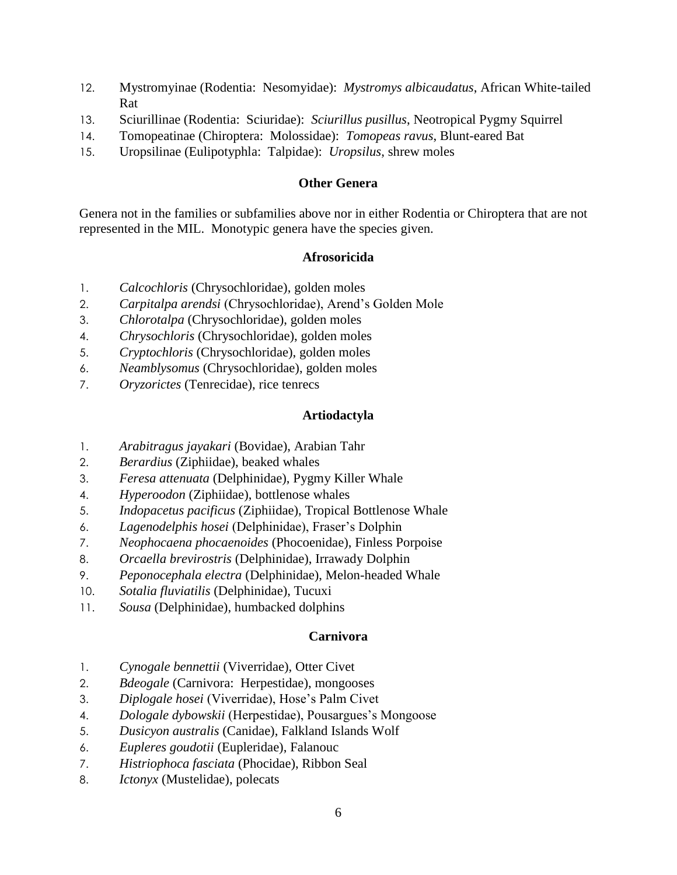- 12. Mystromyinae (Rodentia: Nesomyidae): *Mystromys albicaudatus*, African White-tailed Rat
- 13. Sciurillinae (Rodentia: Sciuridae): *Sciurillus pusillus*, Neotropical Pygmy Squirrel
- 14. Tomopeatinae (Chiroptera: Molossidae): *Tomopeas ravus*, Blunt-eared Bat
- 15. Uropsilinae (Eulipotyphla: Talpidae): *Uropsilus*, shrew moles

# **Other Genera**

Genera not in the families or subfamilies above nor in either Rodentia or Chiroptera that are not represented in the MIL. Monotypic genera have the species given.

# **Afrosoricida**

- 1. *Calcochloris* (Chrysochloridae), golden moles
- 2. *Carpitalpa arendsi* (Chrysochloridae), Arend's Golden Mole
- 3. *Chlorotalpa* (Chrysochloridae), golden moles
- 4. *Chrysochloris* (Chrysochloridae), golden moles
- 5. *Cryptochloris* (Chrysochloridae), golden moles
- 6. *Neamblysomus* (Chrysochloridae), golden moles
- 7. *Oryzorictes* (Tenrecidae), rice tenrecs

# **Artiodactyla**

- 1. *Arabitragus jayakari* (Bovidae), Arabian Tahr
- 2. *Berardius* (Ziphiidae), beaked whales
- 3. *Feresa attenuata* (Delphinidae), Pygmy Killer Whale
- 4. *Hyperoodon* (Ziphiidae), bottlenose whales
- 5. *Indopacetus pacificus* (Ziphiidae), Tropical Bottlenose Whale
- 6. *Lagenodelphis hosei* (Delphinidae), Fraser's Dolphin
- 7. *Neophocaena phocaenoides* (Phocoenidae), Finless Porpoise
- 8. *Orcaella brevirostris* (Delphinidae), Irrawady Dolphin
- 9. *Peponocephala electra* (Delphinidae), Melon-headed Whale
- 10. *Sotalia fluviatilis* (Delphinidae), Tucuxi
- 11. *Sousa* (Delphinidae), humbacked dolphins

## **Carnivora**

- 1. *Cynogale bennettii* (Viverridae), Otter Civet
- 2. *Bdeogale* (Carnivora: Herpestidae), mongooses
- 3. *Diplogale hosei* (Viverridae), Hose's Palm Civet
- 4. *Dologale dybowskii* (Herpestidae), Pousargues's Mongoose
- 5. *Dusicyon australis* (Canidae), Falkland Islands Wolf
- 6. *Eupleres goudotii* (Eupleridae), Falanouc
- 7. *Histriophoca fasciata* (Phocidae), Ribbon Seal
- 8. *Ictonyx* (Mustelidae), polecats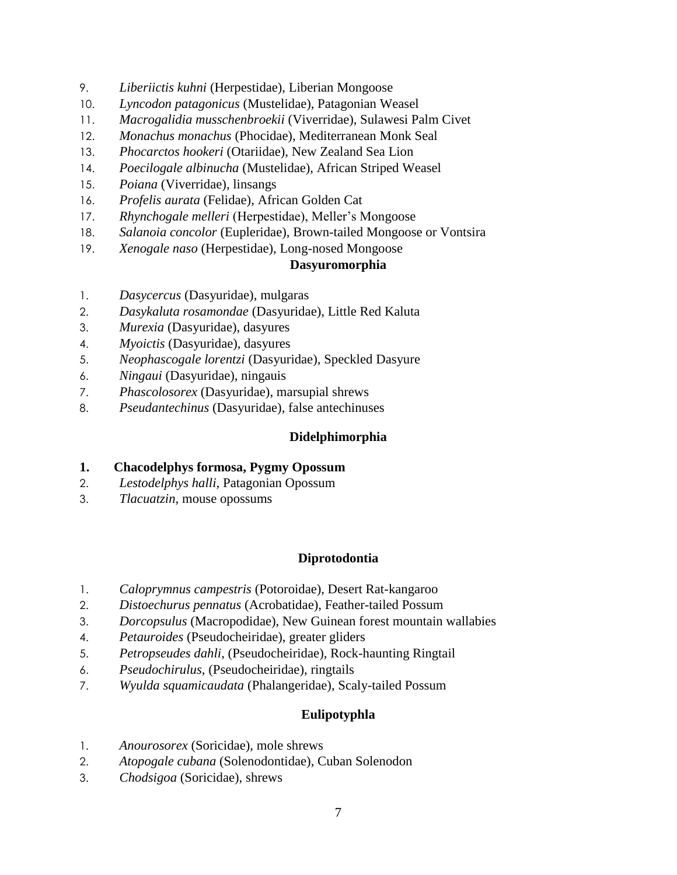- 9. *Liberiictis kuhni* (Herpestidae), Liberian Mongoose
- 10. *Lyncodon patagonicus* (Mustelidae), Patagonian Weasel
- 11. *Macrogalidia musschenbroekii* (Viverridae), Sulawesi Palm Civet
- 12. *Monachus monachus* (Phocidae), Mediterranean Monk Seal
- 13. *Phocarctos hookeri* (Otariidae), New Zealand Sea Lion
- 14. *Poecilogale albinucha* (Mustelidae), African Striped Weasel
- 15. *Poiana* (Viverridae), linsangs
- 16. *Profelis aurata* (Felidae), African Golden Cat
- 17. *Rhynchogale melleri* (Herpestidae), Meller's Mongoose
- 18. *Salanoia concolor* (Eupleridae), Brown-tailed Mongoose or Vontsira
- 19. *Xenogale naso* (Herpestidae), Long-nosed Mongoose

## **Dasyuromorphia**

- 1. *Dasycercus* (Dasyuridae), mulgaras
- 2. *Dasykaluta rosamondae* (Dasyuridae), Little Red Kaluta
- 3. *Murexia* (Dasyuridae), dasyures
- 4. *Myoictis* (Dasyuridae), dasyures
- 5. *Neophascogale lorentzi* (Dasyuridae), Speckled Dasyure
- 6. *Ningaui* (Dasyuridae), ningauis
- 7. *Phascolosorex* (Dasyuridae), marsupial shrews
- 8. *Pseudantechinus* (Dasyuridae), false antechinuses

# **Didelphimorphia**

- **1. Chacodelphys formosa, Pygmy Opossum**
- 2. *Lestodelphys halli*, Patagonian Opossum
- 3. *Tlacuatzin*, mouse opossums

# **Diprotodontia**

- 1. *Caloprymnus campestris* (Potoroidae), Desert Rat-kangaroo
- 2. *Distoechurus pennatus* (Acrobatidae), Feather-tailed Possum
- 3. *Dorcopsulus* (Macropodidae), New Guinean forest mountain wallabies
- 4. *Petauroides* (Pseudocheiridae), greater gliders
- 5. *Petropseudes dahli*, (Pseudocheiridae), Rock-haunting Ringtail
- 6. *Pseudochirulus*, (Pseudocheiridae), ringtails
- 7. *Wyulda squamicaudata* (Phalangeridae), Scaly-tailed Possum

# **Eulipotyphla**

- 1. *Anourosorex* (Soricidae), mole shrews
- 2. *Atopogale cubana* (Solenodontidae), Cuban Solenodon
- 3. *Chodsigoa* (Soricidae), shrews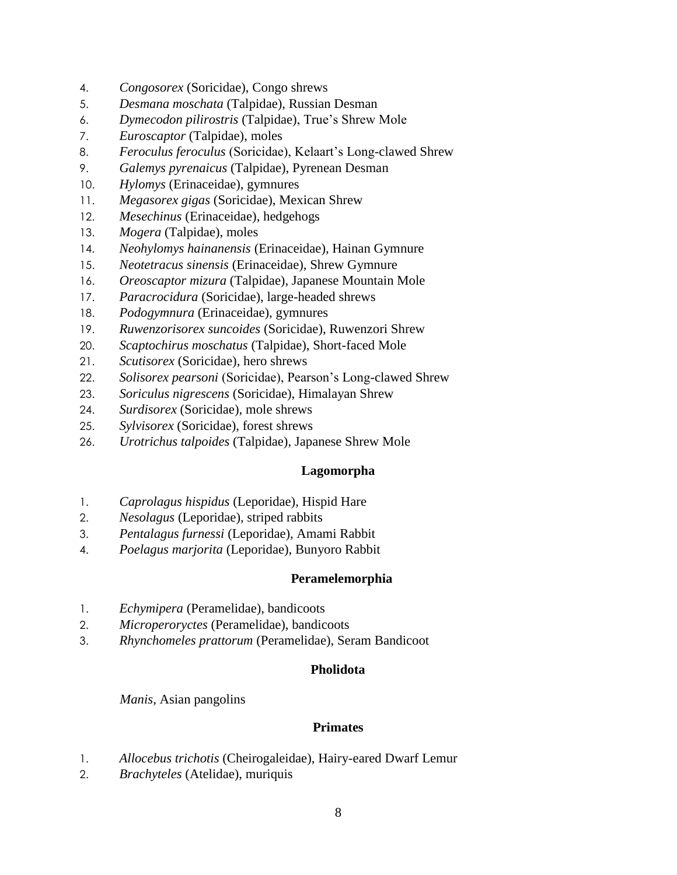- 4. *Congosorex* (Soricidae), Congo shrews
- 5. *Desmana moschata* (Talpidae), Russian Desman
- 6. *Dymecodon pilirostris* (Talpidae), True's Shrew Mole
- 7. *Euroscaptor* (Talpidae), moles
- 8. *Feroculus feroculus* (Soricidae), Kelaart's Long-clawed Shrew
- 9. *Galemys pyrenaicus* (Talpidae), Pyrenean Desman
- 10. *Hylomys* (Erinaceidae), gymnures
- 11. *Megasorex gigas* (Soricidae), Mexican Shrew
- 12. *Mesechinus* (Erinaceidae), hedgehogs
- 13. *Mogera* (Talpidae), moles
- 14. *Neohylomys hainanensis* (Erinaceidae), Hainan Gymnure
- 15. *Neotetracus sinensis* (Erinaceidae), Shrew Gymnure
- 16. *Oreoscaptor mizura* (Talpidae), Japanese Mountain Mole
- 17. *Paracrocidura* (Soricidae), large-headed shrews
- 18. *Podogymnura* (Erinaceidae), gymnures
- 19. *Ruwenzorisorex suncoides* (Soricidae), Ruwenzori Shrew
- 20. *Scaptochirus moschatus* (Talpidae), Short-faced Mole
- 21. *Scutisorex* (Soricidae), hero shrews
- 22. *Solisorex pearsoni* (Soricidae), Pearson's Long-clawed Shrew
- 23. *Soriculus nigrescens* (Soricidae), Himalayan Shrew
- 24. *Surdisorex* (Soricidae), mole shrews
- 25. *Sylvisorex* (Soricidae), forest shrews
- 26. *Urotrichus talpoides* (Talpidae), Japanese Shrew Mole

### **Lagomorpha**

- 1. *Caprolagus hispidus* (Leporidae), Hispid Hare
- 2. *Nesolagus* (Leporidae), striped rabbits
- 3. *Pentalagus furnessi* (Leporidae), Amami Rabbit
- 4. *Poelagus marjorita* (Leporidae), Bunyoro Rabbit

### **Peramelemorphia**

- 1. *Echymipera* (Peramelidae), bandicoots
- 2. *Microperoryctes* (Peramelidae), bandicoots
- 3. *Rhynchomeles prattorum* (Peramelidae), Seram Bandicoot

### **Pholidota**

*Manis*, Asian pangolins

### **Primates**

- 1. *Allocebus trichotis* (Cheirogaleidae), Hairy-eared Dwarf Lemur
- 2. *Brachyteles* (Atelidae), muriquis